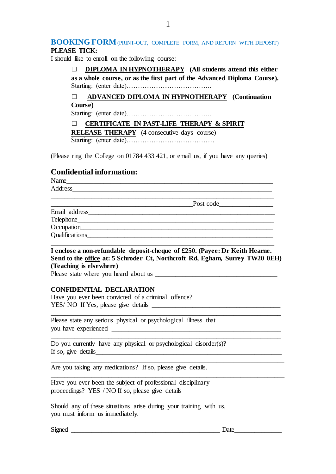### **BOOKING FORM**(PRINT-OUT, COMPLETE FORM, AND RETURN WITH DEPOSIT) **PLEASE TICK:**

I should like to enroll on the following course:

□ **DIPLOMA IN HYPNOTHERAPY (All students attend this either as a whole course, or as the first part of the Advanced Diploma Course).** Starting: (enter date)………………………………..

□ **ADVANCED DIPLOMA IN HYPNOTHERAPY (Continuation Course)** Starting: (enter date)………………………………..

□ **CERTIFICATE IN PAST-LIFE THERAPY & SPIRIT** 

**RELEASE THERAPY** (4 consecutive-days course)

Starting: (enter date)…………………………………

(Please ring the College on 01784 433 421, or email us, if you have any queries)

## **Confidential information:**

Name

Address \_\_\_\_\_\_\_\_\_\_\_\_\_\_\_\_\_\_\_\_\_\_\_\_\_\_\_\_\_\_\_\_\_\_\_\_\_\_\_\_\_\_\_\_\_\_\_\_\_\_\_\_\_\_\_\_\_\_\_\_\_\_\_\_\_\_

Post code

Email address\_\_\_\_\_\_\_\_\_\_\_\_\_\_\_\_\_\_\_\_\_\_\_\_\_\_\_\_\_\_\_\_\_\_\_\_\_\_\_\_\_\_\_\_\_\_\_\_\_\_\_\_\_\_\_

Telephone

Occupation

Qualifications

**I enclose a non-refundable deposit-cheque of £250. (Payee: Dr Keith Hearne. Send to the office at: 5 Schroder Ct, Northcroft Rd, Egham, Surrey TW20 0EH) (Teaching is elsewhere)**

\_\_\_\_\_\_\_\_\_\_\_\_\_\_\_\_\_\_\_\_\_\_\_\_\_\_\_\_\_\_\_\_\_\_\_\_\_\_\_\_\_\_\_\_\_\_\_\_\_\_\_\_\_\_\_\_\_\_\_\_\_\_\_\_\_\_\_\_

\_\_\_\_\_\_\_\_\_\_\_\_\_\_\_\_\_\_\_\_\_\_\_\_\_\_\_\_\_\_\_\_\_\_\_\_\_\_\_\_\_\_\_\_\_\_\_\_\_\_\_\_\_\_\_\_\_\_\_\_\_\_\_\_\_\_\_\_

\_\_\_\_\_\_\_\_\_\_\_\_\_\_\_\_\_\_\_\_\_\_\_\_\_\_\_\_\_\_\_\_\_\_\_\_\_\_\_\_\_\_\_\_\_\_\_\_\_\_\_\_\_\_\_\_\_\_\_\_\_\_\_\_\_\_\_\_\_

\_\_\_\_\_\_\_\_\_\_\_\_\_\_\_\_\_\_\_\_\_\_\_\_\_\_\_\_\_\_\_\_\_\_\_\_\_\_\_\_\_\_\_\_\_\_\_\_\_\_\_\_\_\_\_\_\_\_\_\_\_\_\_\_\_\_\_\_\_

\_\_\_\_\_\_\_\_\_\_\_\_\_\_\_\_\_\_\_\_\_\_\_\_\_\_\_\_\_\_\_\_\_\_\_\_\_\_\_\_\_\_\_\_\_\_\_\_\_\_\_\_\_\_\_\_\_\_\_\_\_\_\_\_\_\_\_\_\_

\_\_\_\_\_\_\_\_\_\_\_\_\_\_\_\_\_\_\_\_\_\_\_\_\_\_\_\_\_\_\_\_\_\_\_\_\_\_\_\_\_\_\_\_\_\_\_\_\_\_\_\_\_\_\_\_\_\_\_\_\_\_\_\_\_\_

Please state where you heard about us \_\_\_\_\_\_\_\_\_\_\_\_\_\_\_\_\_\_\_\_\_\_\_\_\_\_\_\_\_\_\_\_\_\_\_\_

### **CONFIDENTIAL DECLARATION**

Have you ever been convicted of a criminal offence? YES/ NO If Yes, please give details \_\_\_\_\_\_\_\_\_\_\_\_\_\_\_\_\_\_\_\_\_\_\_\_\_\_\_\_\_\_\_\_\_\_\_\_\_\_

Please state any serious physical or psychological illness that you have experienced \_\_\_\_\_\_\_\_\_\_\_\_\_\_\_\_\_\_\_\_\_\_\_\_\_\_\_\_\_\_\_\_\_\_\_\_\_\_\_\_\_\_\_\_\_\_\_\_\_\_

Do you currently have any physical or psychological disorder(s)? If so, give details\_\_\_\_\_\_\_\_\_\_\_\_\_\_\_\_\_\_\_\_\_\_\_\_\_\_\_\_\_\_\_\_\_\_\_\_\_\_\_\_\_\_\_\_\_\_\_\_\_\_\_\_\_\_\_

Are you taking any medications? If so, please give details.

Have you ever been the subject of professional disciplinary proceedings? YES / NO If so, please give details

Should any of these situations arise during your training with us, you must inform us immediately.

Signed \_\_\_\_\_\_\_\_\_\_\_\_\_\_\_\_\_\_\_\_\_\_\_\_\_\_\_\_\_\_\_\_\_\_\_\_\_\_\_\_\_\_\_\_ Date\_\_\_\_\_\_\_\_\_\_\_\_\_\_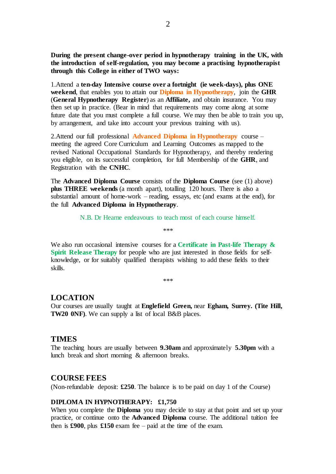**During the present change-over period in hypnotherapy training in the UK, with the introduction of self-regulation, you may become a practising hypnotherapist through this College in either of TWO ways:** 

1.Attend a **ten-day Intensive course over a fortnight (ie week-days), plus ONE weekend**, that enables you to attain our **Diploma in Hypnotherapy**, join the **GHR** (**General Hypnotherapy Register**) as an **Affiliate,** and obtain insurance. You may then set up in practice. (Bear in mind that requirements may come along at some future date that you must complete a full course. We may then be able to train you up, by arrangement, and take into account your previous training with us).

2.Attend our full professional **Advanced Diploma in Hypnotherapy** course – meeting the agreed Core Curriculum and Learning Outcomes as mapped to the revised National Occupational Standards for Hypnotherapy, and thereby rendering you eligible, on its successful completion, for full Membership of the **GHR**, and Registration with the **CNHC**.

The **Advanced Diploma Course** consists of the **Diploma Course** (see (1) above) **plus THREE weekends** (a month apart), totalling 120 hours. There is also a substantial amount of home-work – reading, essays, etc (and exams at the end), for the full **Advanced Diploma in Hypnotherapy**.

> N.B. Dr Hearne endeavours to teach most of each course himself. \*\*\*

We also run occasional intensive courses for a **Certificate in Past-life Therapy & Spirit Release Therapy** for people who are just interested in those fields for selfknowledge, or for suitably qualified therapists wishing to add these fields to their skills.

\*\*\*

## **LOCATION**

Our courses are usually taught at **Englefield Green,** near **Egham, Surrey. (Tite Hill, TW20 0NF)**. We can supply a list of local B&B places.

## **TIMES**

The teaching hours are usually between **9.30am** and approximately **5.30pm** with a lunch break and short morning & afternoon breaks.

#### **COURSE FEES**

(Non-refundable deposit: **£250**. The balance is to be paid on day 1 of the Course)

#### **DIPLOMA IN HYPNOTHERAPY: £1,750**

When you complete the **Diploma** you may decide to stay at that point and set up your practice, or continue onto the **Advanced Diploma** course. The additional tuition fee then is  $\pounds 900$ , plus  $\pounds 150$  exam fee – paid at the time of the exam.